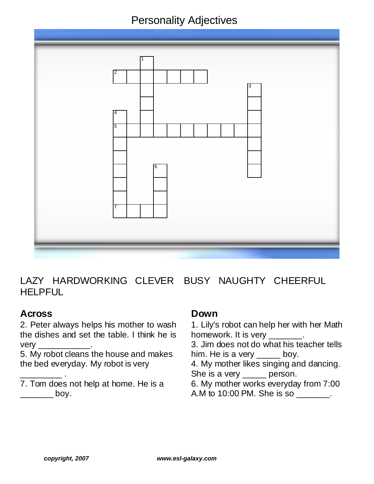# Personality Adjectives



LAZY HARDWORKING CLEVER BUSY NAUGHTY CHEERFUL **HELPFUL** 

## **Across**

\_\_\_\_\_\_\_\_\_ .

2. Peter always helps his mother to wash the dishes and set the table. I think he is  $very_$ 

5. My robot cleans the house and makes the bed ev eryday. My robot is very

### 7. Tom does not help at home. He is a  $-$  boy.

#### **Down**

1. Lily's robot can help her with her Math homework. It is very \_\_\_\_\_\_\_. 3. Jim does not do what his teacher tells him. He is a very \_\_\_\_\_ boy. 4. My mother likes singing and dancing. She is a very \_\_\_\_\_ person. 6. My mother works everyday from 7:00 A.M to 10:00 PM. She is so \_\_\_\_\_\_\_.